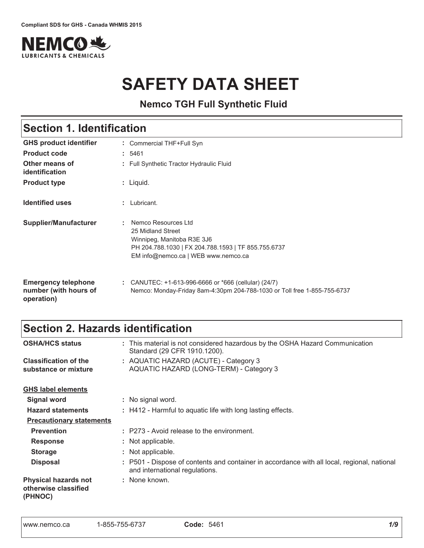

# **SAFETY DATA SHEET**

**Nemco TGH Full Synthetic Fluid**

| <b>Section 1. Identification</b>                                  |                                                                                                                                                                      |  |
|-------------------------------------------------------------------|----------------------------------------------------------------------------------------------------------------------------------------------------------------------|--|
| <b>GHS product identifier</b>                                     | : Commercial THF+Full Syn                                                                                                                                            |  |
| <b>Product code</b>                                               | : 5461                                                                                                                                                               |  |
| Other means of<br>identification                                  | : Full Synthetic Tractor Hydraulic Fluid                                                                                                                             |  |
| <b>Product type</b>                                               | : Liquid.                                                                                                                                                            |  |
| <b>Identified uses</b>                                            | Lubricant.                                                                                                                                                           |  |
| Supplier/Manufacturer                                             | Nemco Resources Ltd<br>25 Midland Street<br>Winnipeg, Manitoba R3E 3J6<br>PH 204.788.1030   FX 204.788.1593   TF 855.755.6737<br>EM info@nemco.ca   WEB www.nemco.ca |  |
| <b>Emergency telephone</b><br>number (with hours of<br>operation) | : CANUTEC: $+1-613-996-6666$ or $*666$ (cellular) (24/7)<br>Nemco: Monday-Friday 8am-4:30pm 204-788-1030 or Toll free 1-855-755-6737                                 |  |

## Section 2. Hazards identification

| <b>OSHA/HCS status</b>                                         | : This material is not considered hazardous by the OSHA Hazard Communication<br>Standard (29 CFR 1910.1200).                  |
|----------------------------------------------------------------|-------------------------------------------------------------------------------------------------------------------------------|
| <b>Classification of the</b><br>substance or mixture           | : AQUATIC HAZARD (ACUTE) - Category 3<br>AQUATIC HAZARD (LONG-TERM) - Category 3                                              |
| <b>GHS label elements</b>                                      |                                                                                                                               |
| <b>Signal word</b>                                             | : No signal word.                                                                                                             |
| <b>Hazard statements</b>                                       | : H412 - Harmful to aquatic life with long lasting effects.                                                                   |
| <b>Precautionary statements</b>                                |                                                                                                                               |
| <b>Prevention</b>                                              | : P273 - Avoid release to the environment.                                                                                    |
| <b>Response</b>                                                | : Not applicable.                                                                                                             |
| <b>Storage</b>                                                 | : Not applicable.                                                                                                             |
| <b>Disposal</b>                                                | : P501 - Dispose of contents and container in accordance with all local, regional, national<br>and international regulations. |
| <b>Physical hazards not</b><br>otherwise classified<br>(PHNOC) | : None known.                                                                                                                 |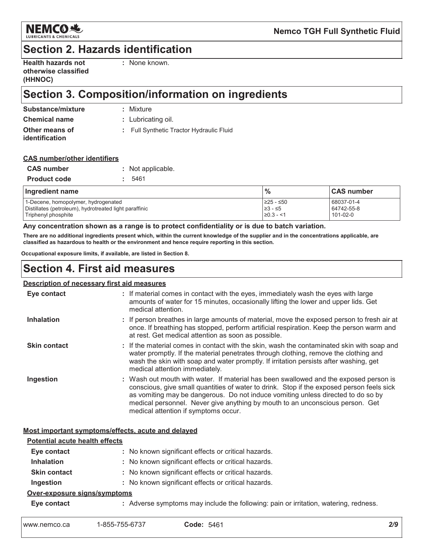

## **Section 2. Hazards identification**

| <b>Health hazards not</b> |
|---------------------------|
| otherwise classified      |
| (HHNOC)                   |

· None known

## Section 3. Composition/information on ingredients

| Substance/mixture                | : Mixture                                |
|----------------------------------|------------------------------------------|
| <b>Chemical name</b>             | : Lubricating oil.                       |
| Other means of<br>identification | : Full Synthetic Tractor Hydraulic Fluid |
|                                  |                                          |

### **CAS number/other identifiers**

| <b>CAS number</b>   | : Not applicable. |
|---------------------|-------------------|
| <b>Product code</b> | : 5461            |

| Ingredient name                                        | $\frac{0}{0}$    | <b>CAS number</b> |
|--------------------------------------------------------|------------------|-------------------|
| 1-Decene, homopolymer, hydrogenated                    | $≥25 - ≤50$      | 68037-01-4        |
| Distillates (petroleum), hydrotreated light paraffinic | 1≥3 - ≤5         | 64742-55-8        |
| Triphenyl phosphite                                    | $\geq 0.3 - 1.5$ | 101-02-0          |

### Any concentration shown as a range is to protect confidentiality or is due to batch variation.

There are no additional ingredients present which, within the current knowledge of the supplier and in the concentrations applicable, are classified as hazardous to health or the environment and hence require reporting in this section.

Occupational exposure limits, if available, are listed in Section 8.

## **Section 4. First aid measures**

#### Description of necessary first aid measures Eye contact : If material comes in contact with the eyes, immediately wash the eyes with large amounts of water for 15 minutes, occasionally lifting the lower and upper lids. Get medical attention. **Inhalation** : If person breathes in large amounts of material, move the exposed person to fresh air at once. If breathing has stopped, perform artificial respiration. Keep the person warm and at rest. Get medical attention as soon as possible. **Skin contact** : If the material comes in contact with the skin, wash the contaminated skin with soap and water promptly. If the material penetrates through clothing, remove the clothing and wash the skin with soap and water promptly. If irritation persists after washing, get medical attention immediately. Ingestion : Wash out mouth with water. If material has been swallowed and the exposed person is conscious, give small quantities of water to drink. Stop if the exposed person feels sick as vomiting may be dangerous. Do not induce vomiting unless directed to do so by medical personnel. Never give anything by mouth to an unconscious person. Get medical attention if symptoms occur.

### Most important symptoms/effects, acute and delayed

| <b>Potential acute health effects</b> |                                                                                      |  |
|---------------------------------------|--------------------------------------------------------------------------------------|--|
| Eye contact                           | : No known significant effects or critical hazards.                                  |  |
| <b>Inhalation</b>                     | : No known significant effects or critical hazards.                                  |  |
| <b>Skin contact</b>                   | : No known significant effects or critical hazards.                                  |  |
| Ingestion                             | : No known significant effects or critical hazards.                                  |  |
| Over-exposure signs/symptoms          |                                                                                      |  |
| Eye contact                           | : Adverse symptoms may include the following: pain or irritation, watering, redness. |  |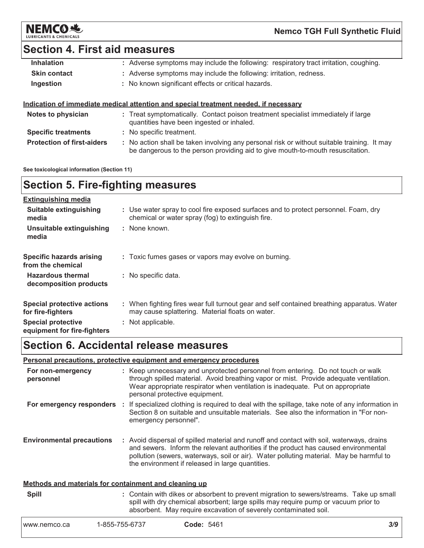

## **Section 4. First aid measures**

| <b>Inhalation</b>   | : Adverse symptoms may include the following: respiratory tract irritation, coughing. |
|---------------------|---------------------------------------------------------------------------------------|
| <b>Skin contact</b> | : Adverse symptoms may include the following: irritation, redness.                    |
| Ingestion           | : No known significant effects or critical hazards.                                   |
|                     |                                                                                       |
|                     | Indication of immediate medical attention and special treatment needed, if necessary  |
| Notos to physician  | Exact eventomatically. Contact poison traatment epocialist immodiately if large       |

| Notes to physician                | : Treat symptomatically. Contact poison treatment specialist immediately if large<br>quantities have been ingested or inhaled.                                              |  |
|-----------------------------------|-----------------------------------------------------------------------------------------------------------------------------------------------------------------------------|--|
| <b>Specific treatments</b>        | : No specific treatment.                                                                                                                                                    |  |
| <b>Protection of first-aiders</b> | No action shall be taken involving any personal risk or without suitable training. It may<br>be dangerous to the person providing aid to give mouth-to-mouth resuscitation. |  |

See toxicological information (Section 11)

## **Section 5. Fire-fighting measures**

| <b>Extinguishing media</b>                               |                                                                                                                                                |
|----------------------------------------------------------|------------------------------------------------------------------------------------------------------------------------------------------------|
| Suitable extinguishing<br>media                          | : Use water spray to cool fire exposed surfaces and to protect personnel. Foam, dry<br>chemical or water spray (fog) to extinguish fire.       |
| Unsuitable extinguishing<br>media                        | : None known.                                                                                                                                  |
| <b>Specific hazards arising</b><br>from the chemical     | : Toxic fumes gases or vapors may evolve on burning.                                                                                           |
| <b>Hazardous thermal</b><br>decomposition products       | : No specific data.                                                                                                                            |
| <b>Special protective actions</b><br>for fire-fighters   | : When fighting fires wear full turnout gear and self contained breathing apparatus. Water<br>may cause splattering. Material floats on water. |
| <b>Special protective</b><br>equipment for fire-fighters | : Not applicable.                                                                                                                              |

## **Section 6. Accidental release measures**

### Personal precautions, protective equipment and emergency procedures

| For non-emergency<br>personnel                        | : Keep unnecessary and unprotected personnel from entering. Do not touch or walk<br>through spilled material. Avoid breathing vapor or mist. Provide adequate ventilation.<br>Wear appropriate respirator when ventilation is inadequate. Put on appropriate<br>personal protective equipment.                                  |
|-------------------------------------------------------|---------------------------------------------------------------------------------------------------------------------------------------------------------------------------------------------------------------------------------------------------------------------------------------------------------------------------------|
| For emergency responders                              | : If specialized clothing is required to deal with the spillage, take note of any information in<br>Section 8 on suitable and unsuitable materials. See also the information in "For non-<br>emergency personnel".                                                                                                              |
| <b>Environmental precautions</b>                      | : Avoid dispersal of spilled material and runoff and contact with soil, waterways, drains<br>and sewers. Inform the relevant authorities if the product has caused environmental<br>pollution (sewers, waterways, soil or air). Water polluting material. May be harmful to<br>the environment if released in large quantities. |
| Methods and materials for containment and cleaning up |                                                                                                                                                                                                                                                                                                                                 |
| <b>Spill</b>                                          | : Contain with dikes or absorbent to prevent migration to sewers/streams. Take up small<br>spill with dry chemical absorbent; large spills may require pump or vacuum prior to                                                                                                                                                  |

absorbent. May require excavation of severely contaminated soil.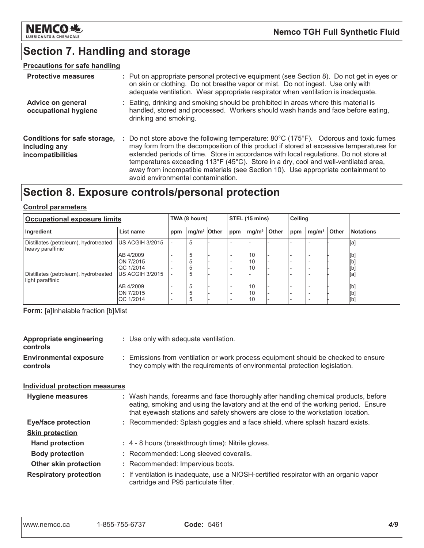

## Section 7. Handling and storage

## **Precautions for safe handling**

| <b>Protective measures</b>                                         | : Put on appropriate personal protective equipment (see Section 8). Do not get in eyes or<br>on skin or clothing. Do not breathe vapor or mist. Do not ingest. Use only with<br>adequate ventilation. Wear appropriate respirator when ventilation is inadequate.                                                                                                                                                                                                                           |
|--------------------------------------------------------------------|---------------------------------------------------------------------------------------------------------------------------------------------------------------------------------------------------------------------------------------------------------------------------------------------------------------------------------------------------------------------------------------------------------------------------------------------------------------------------------------------|
| Advice on general<br>occupational hygiene                          | : Eating, drinking and smoking should be prohibited in areas where this material is<br>handled, stored and processed. Workers should wash hands and face before eating,<br>drinking and smoking.                                                                                                                                                                                                                                                                                            |
| Conditions for safe storage,<br>including any<br>incompatibilities | : Do not store above the following temperature: 80°C (175°F). Odorous and toxic fumes<br>may form from the decomposition of this product if stored at excessive temperatures for<br>extended periods of time. Store in accordance with local regulations. Do not store at<br>temperatures exceeding 113°F (45°C). Store in a dry, cool and well-ventilated area,<br>away from incompatible materials (see Section 10). Use appropriate containment to<br>avoid environmental contamination. |

## Section 8. Exposure controls/personal protection

### **Control parameters**

| <b>Occupational exposure limits</b>                       |                  | TWA (8 hours) |                         | STEL (15 mins) |                          |                   | <b>Ceiling</b> |     |                          |       |                  |
|-----------------------------------------------------------|------------------|---------------|-------------------------|----------------|--------------------------|-------------------|----------------|-----|--------------------------|-------|------------------|
| Ingredient                                                | List name        | ppm           | mg/m <sup>3</sup> Other |                | ppm                      | mg/m <sup>3</sup> | Other          | ppm | mg/m <sup>3</sup>        | Other | <b>Notations</b> |
| Distillates (petroleum), hydrotreated<br>heavy paraffinic | US ACGIH 3/2015  |               | 5                       |                |                          |                   |                |     |                          |       | [a]              |
|                                                           | AB 4/2009        |               | 5                       |                | $\overline{\phantom{0}}$ | 10                |                |     | $\overline{\phantom{a}}$ |       | [b]              |
|                                                           | ON 7/2015        |               | 5                       |                | $\overline{\phantom{0}}$ | 10                |                |     |                          |       | [b]              |
|                                                           | QC 1/2014        |               | 5                       |                | $\overline{\phantom{0}}$ | 10                |                |     | -                        |       | [b]              |
| Distillates (petroleum), hydrotreated<br>light paraffinic | IUS ACGIH 3/2015 |               | 5                       |                | $\overline{\phantom{0}}$ |                   |                |     |                          |       | [a]              |
|                                                           | AB 4/2009        |               | 5                       |                | $\overline{\phantom{0}}$ | 10                |                |     |                          |       | [b]              |
|                                                           | ON 7/2015        |               | 5                       |                | $\overline{\phantom{0}}$ | 10                |                |     | -                        |       | [b]              |
|                                                           | <b>QC 1/2014</b> |               | 5                       |                | $\overline{\phantom{0}}$ | 10                |                |     | <u>_</u>                 |       | [b]              |

Form: [a]Inhalable fraction [b]Mist

| <b>Appropriate engineering</b><br>controls       | : Use only with adequate ventilation.                                                                                                                                                                                                                         |
|--------------------------------------------------|---------------------------------------------------------------------------------------------------------------------------------------------------------------------------------------------------------------------------------------------------------------|
| <b>Environmental exposure</b><br><b>controls</b> | : Emissions from ventilation or work process equipment should be checked to ensure<br>they comply with the requirements of environmental protection legislation.                                                                                              |
| <b>Individual protection measures</b>            |                                                                                                                                                                                                                                                               |
| <b>Hygiene measures</b>                          | : Wash hands, forearms and face thoroughly after handling chemical products, before<br>eating, smoking and using the lavatory and at the end of the working period. Ensure<br>that eyewash stations and safety showers are close to the workstation location. |
| <b>Eye/face protection</b>                       | : Recommended: Splash goggles and a face shield, where splash hazard exists.                                                                                                                                                                                  |
| <b>Skin protection</b>                           |                                                                                                                                                                                                                                                               |
| <b>Hand protection</b>                           | : 4 - 8 hours (breakthrough time): Nitrile gloves.                                                                                                                                                                                                            |
| <b>Body protection</b>                           | : Recommended: Long sleeved coveralls.                                                                                                                                                                                                                        |
| <b>Other skin protection</b>                     | : Recommended: Impervious boots.                                                                                                                                                                                                                              |
| <b>Respiratory protection</b>                    | : If ventilation is inadequate, use a NIOSH-certified respirator with an organic vapor<br>cartridge and P95 particulate filter.                                                                                                                               |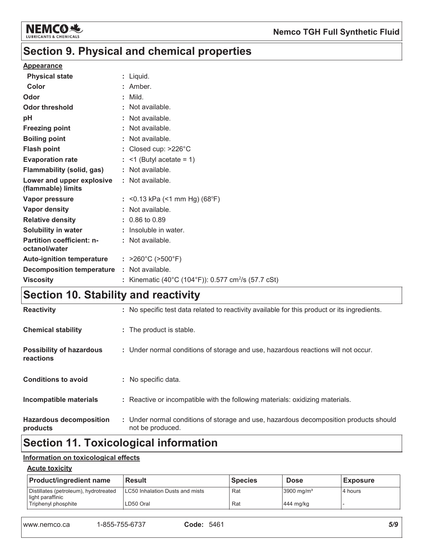

## Section 9. Physical and chemical properties

### **Appearance**

| <b>Physical state</b>                             | : Liquid.                                                       |
|---------------------------------------------------|-----------------------------------------------------------------|
| Color                                             | : Amber.                                                        |
| Odor                                              | : Mild.                                                         |
| <b>Odor threshold</b>                             | : Not available.                                                |
| pH                                                | : Not available.                                                |
| <b>Freezing point</b>                             | : Not available.                                                |
| <b>Boiling point</b>                              | : Not available.                                                |
| <b>Flash point</b>                                | : Closed cup: $>226^{\circ}$ C                                  |
| <b>Evaporation rate</b>                           | $:$ <1 (Butyl acetate = 1)                                      |
| <b>Flammability (solid, gas)</b>                  | : Not available.                                                |
| Lower and upper explosive<br>(flammable) limits   | : Not available.                                                |
| Vapor pressure                                    | : <0.13 kPa (<1 mm Hg) (68°F)                                   |
| Vapor density                                     | : Not available.                                                |
| <b>Relative density</b>                           | : 0.86 to 0.89                                                  |
| Solubility in water                               | $:$ Insoluble in water.                                         |
| <b>Partition coefficient: n-</b><br>octanol/water | : Not available.                                                |
| <b>Auto-ignition temperature</b>                  | : $>260^{\circ}$ C ( $>500^{\circ}$ F)                          |
| <b>Decomposition temperature</b>                  | : Not available.                                                |
| <b>Viscosity</b>                                  | : Kinematic (40°C (104°F)): 0.577 cm <sup>2</sup> /s (57.7 cSt) |

## Section 10. Stability and reactivity

| <b>Hazardous decomposition</b><br>products   | : Under normal conditions of storage and use, hazardous decomposition products should<br>not be produced. |
|----------------------------------------------|-----------------------------------------------------------------------------------------------------------|
| Incompatible materials                       | : Reactive or incompatible with the following materials: oxidizing materials.                             |
| <b>Conditions to avoid</b>                   | : No specific data.                                                                                       |
| <b>Possibility of hazardous</b><br>reactions | : Under normal conditions of storage and use, hazardous reactions will not occur.                         |
| <b>Chemical stability</b>                    | : The product is stable.                                                                                  |
| <b>Reactivity</b>                            | : No specific test data related to reactivity available for this product or its ingredients.              |

## Section 11. Toxicological information

### Information on toxicological effects

### **Acute toxicity**

| <b>Product/ingredient name</b>                            | l Result                                | <b>Species</b> | <b>Dose</b>           | <b>Exposure</b> |
|-----------------------------------------------------------|-----------------------------------------|----------------|-----------------------|-----------------|
| Distillates (petroleum), hydrotreated<br>light paraffinic | <b>ILC50 Inhalation Dusts and mists</b> | Rat            | $3900 \text{ mg/m}^3$ | l 4 hours       |
| Triphenyl phosphite                                       | LD50 Oral                               | Rat            | $444$ mg/kg           |                 |

| www.nemco.ca | 1-855-755-6737 | Code |
|--------------|----------------|------|
|              |                |      |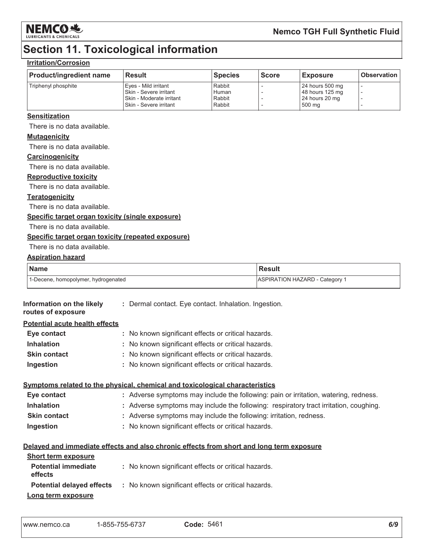

## **Section 11. Toxicological information**

## **Irritation/Corrosion**

| <b>Product/ingredient name</b> | <b>Result</b>              | <b>Species</b> | <b>Score</b> | <b>Exposure</b> | Observation I |
|--------------------------------|----------------------------|----------------|--------------|-----------------|---------------|
| Triphenyl phosphite            | l Eves - Mild irritant     | Rabbit         |              | 24 hours 500 mg |               |
|                                | l Skin - Severe irritant   | Human          |              | 48 hours 125 mg |               |
|                                | l Skin - Moderate irritant | Rabbit         |              | 24 hours 20 mg  |               |
|                                | I Skin - Severe irritant   | Rabbit         |              | 500 mg          |               |

### **Sensitization**

There is no data available.

### **Mutagenicity**

There is no data available.

#### Carcinogenicity

There is no data available.

#### **Reproductive toxicity**

There is no data available.

### **Teratogenicity**

There is no data available.

### Specific target organ toxicity (single exposure)

There is no data available.

### Specific target organ toxicity (repeated exposure)

There is no data available.

### **Aspiration hazard**

| Name                                | <b>Result</b>                         |
|-------------------------------------|---------------------------------------|
| 1-Decene, homopolymer, hydrogenated | <b>ASPIRATION HAZARD - Category 1</b> |

| Information on the likely<br>routes of exposure | : Dermal contact. Eye contact. Inhalation. Ingestion.                                    |
|-------------------------------------------------|------------------------------------------------------------------------------------------|
| <b>Potential acute health effects</b>           |                                                                                          |
| Eye contact                                     | : No known significant effects or critical hazards.                                      |
| <b>Inhalation</b>                               | : No known significant effects or critical hazards.                                      |
| <b>Skin contact</b>                             | : No known significant effects or critical hazards.                                      |
| Ingestion                                       | : No known significant effects or critical hazards.                                      |
|                                                 | Symptoms related to the physical, chemical and toxicological characteristics             |
| Eye contact                                     | : Adverse symptoms may include the following: pain or irritation, watering, redness.     |
| <b>Inhalation</b>                               | : Adverse symptoms may include the following: respiratory tract irritation, coughing.    |
| <b>Skin contact</b>                             | : Adverse symptoms may include the following: irritation, redness.                       |
| Ingestion                                       | : No known significant effects or critical hazards.                                      |
|                                                 | Delayed and immediate effects and also chronic effects from short and long term exposure |
| <b>Short term exposure</b>                      |                                                                                          |
| <b>Potential immediate</b><br>effects           | : No known significant effects or critical hazards.                                      |
| <b>Potential delayed effects</b>                | : No known significant effects or critical hazards.                                      |
| Long term exposure                              |                                                                                          |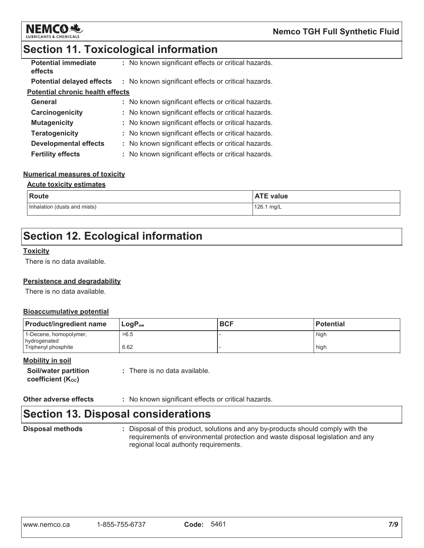

## **Section 11. Toxicological information**

| <b>Potential immediate</b><br>effects   | : No known significant effects or critical hazards. |
|-----------------------------------------|-----------------------------------------------------|
| <b>Potential delayed effects</b>        | : No known significant effects or critical hazards. |
| <b>Potential chronic health effects</b> |                                                     |
| General                                 | : No known significant effects or critical hazards. |
| Carcinogenicity                         | : No known significant effects or critical hazards. |
| <b>Mutagenicity</b>                     | : No known significant effects or critical hazards. |
| <b>Teratogenicity</b>                   | : No known significant effects or critical hazards. |
| Developmental effects                   | : No known significant effects or critical hazards. |
| <b>Fertility effects</b>                | : No known significant effects or critical hazards. |

### **Numerical measures of toxicity**

### **Acute toxicity estimates**

| <b>Route</b>                 | <b>ATE value</b> |
|------------------------------|------------------|
| Inhalation (dusts and mists) | 126.1 mg/L       |

## **Section 12. Ecological information**

### **Toxicity**

There is no data available.

### Persistence and degradability

There is no data available.

### **Bioaccumulative potential**

| <b>Product/ingredient name</b>         | $LogP_{ow}$ | <b>BCF</b> | <b>Potential</b> |
|----------------------------------------|-------------|------------|------------------|
| 1-Decene, homopolymer,<br>hydrogenated | >6.5        |            | high             |
| Triphenyl phosphite                    | 6.62        |            | high             |

### **Mobility in soil**

| Soil/water partition | : There is no data available. |
|----------------------|-------------------------------|
| coefficient (Koc)    |                               |

Other adverse effects : No known significant effects or critical hazards.

## **Section 13. Disposal considerations**

**Disposal methods** 

: Disposal of this product, solutions and any by-products should comply with the requirements of environmental protection and waste disposal legislation and any regional local authority requirements.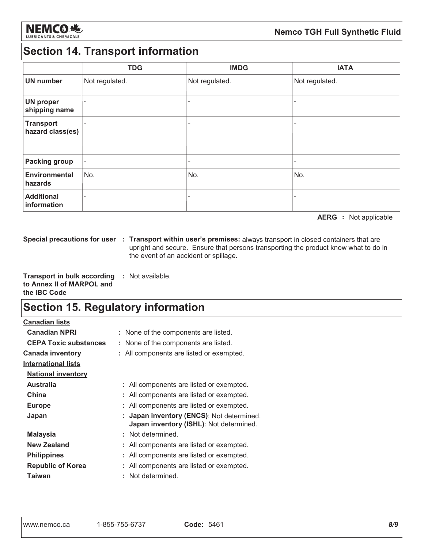

## **Section 14. Transport information**

|                                      | <b>TDG</b>               | <b>IMDG</b>    | <b>IATA</b>    |
|--------------------------------------|--------------------------|----------------|----------------|
| <b>UN number</b>                     | Not regulated.           | Not regulated. | Not regulated. |
| <b>UN proper</b><br>shipping name    | $\overline{\phantom{0}}$ |                |                |
| <b>Transport</b><br>hazard class(es) | $\overline{\phantom{0}}$ |                | ۰              |
| <b>Packing group</b>                 | $\overline{\phantom{a}}$ |                | ۰              |
| <b>Environmental</b><br>hazards      | No.                      | No.            | No.            |
| <b>Additional</b><br>information     |                          |                |                |

**AERG** : Not applicable

Special precautions for user : Transport within user's premises: always transport in closed containers that are upright and secure. Ensure that persons transporting the product know what to do in the event of an accident or spillage.

**Transport in bulk according : Not available.** to Annex II of MARPOL and the IBC Code

## **Section 15. Regulatory information**

**Canadian lists** 

| <b>Canadian NPRI</b>         | : None of the components are listed.                                              |
|------------------------------|-----------------------------------------------------------------------------------|
| <b>CEPA Toxic substances</b> | : None of the components are listed.                                              |
| <b>Canada inventory</b>      | : All components are listed or exempted.                                          |
| <b>International lists</b>   |                                                                                   |
| <b>National inventory</b>    |                                                                                   |
| <b>Australia</b>             | : All components are listed or exempted.                                          |
| China                        | All components are listed or exempted.                                            |
| <b>Europe</b>                | All components are listed or exempted.                                            |
| Japan                        | Japan inventory (ENCS): Not determined<br>Japan inventory (ISHL): Not determined. |
| <b>Malaysia</b>              | Not determined.                                                                   |
| New Zealand                  | : All components are listed or exempted.                                          |
| <b>Philippines</b>           | All components are listed or exempted.                                            |
| <b>Republic of Korea</b>     | All components are listed or exempted.                                            |
| Taiwan                       | Not determined.                                                                   |
|                              |                                                                                   |